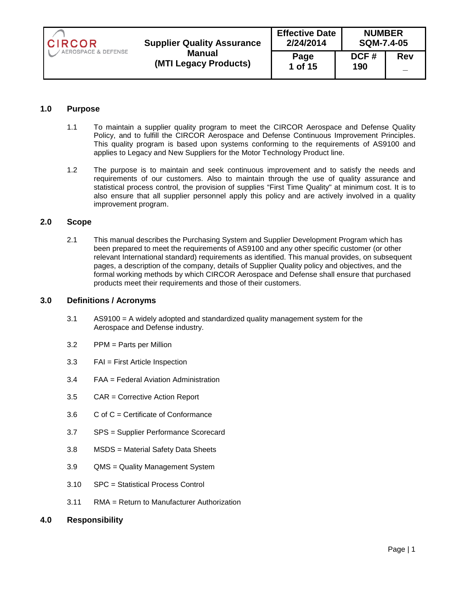| <b>CIRCOR</b>       | <b>Supplier Quality Assurance</b>      | <b>Effective Date</b><br><b>NUMBER</b><br>2/24/2014<br><b>SQM-7.4-05</b> |             |            |
|---------------------|----------------------------------------|--------------------------------------------------------------------------|-------------|------------|
| AEROSPACE & DEFENSE | <b>Manual</b><br>(MTI Legacy Products) | Page<br>1 of 15                                                          | DCF#<br>190 | <b>Rev</b> |

# **1.0 Purpose**

- 1.1 To maintain a supplier quality program to meet the CIRCOR Aerospace and Defense Quality Policy, and to fulfill the CIRCOR Aerospace and Defense Continuous Improvement Principles. This quality program is based upon systems conforming to the requirements of AS9100 and applies to Legacy and New Suppliers for the Motor Technology Product line.
- 1.2 The purpose is to maintain and seek continuous improvement and to satisfy the needs and requirements of our customers. Also to maintain through the use of quality assurance and statistical process control, the provision of supplies "First Time Quality" at minimum cost. It is to also ensure that all supplier personnel apply this policy and are actively involved in a quality improvement program.

## **2.0 Scope**

2.1 This manual describes the Purchasing System and Supplier Development Program which has been prepared to meet the requirements of AS9100 and any other specific customer (or other relevant International standard) requirements as identified. This manual provides, on subsequent pages, a description of the company, details of Supplier Quality policy and objectives, and the formal working methods by which CIRCOR Aerospace and Defense shall ensure that purchased products meet their requirements and those of their customers.

## **3.0 Definitions / Acronyms**

- 3.1 AS9100 = A widely adopted and standardized quality management system for the Aerospace and Defense industry.
- 3.2 PPM = Parts per Million
- 3.3 FAI = First Article Inspection
- 3.4 FAA = Federal Aviation Administration
- 3.5 CAR = Corrective Action Report
- 3.6 C of C = Certificate of Conformance
- 3.7 SPS = Supplier Performance Scorecard
- 3.8 MSDS = Material Safety Data Sheets
- 3.9 QMS = Quality Management System
- 3.10 SPC = Statistical Process Control
- 3.11 RMA = Return to Manufacturer Authorization
- **4.0 Responsibility**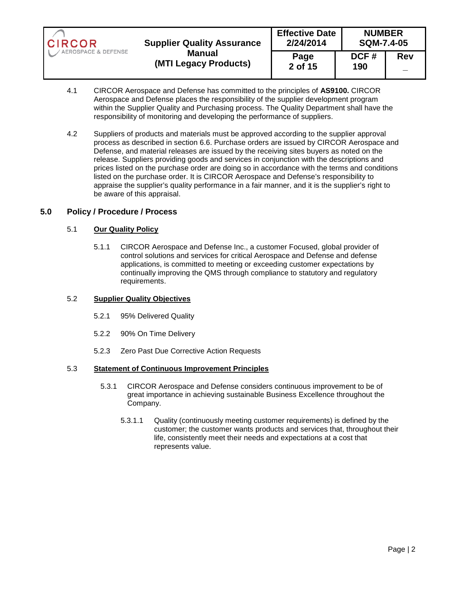| <b>CIRCOR</b>       | <b>Supplier Quality Assurance</b>      | <b>Effective Date</b><br>2/24/2014 |             | <b>NUMBER</b><br><b>SQM-7.4-05</b> |  |
|---------------------|----------------------------------------|------------------------------------|-------------|------------------------------------|--|
| AEROSPACE & DEFENSE | <b>Manual</b><br>(MTI Legacy Products) | Page<br>2 of 15                    | DCF#<br>190 | <b>Rev</b>                         |  |

- 4.1 CIRCOR Aerospace and Defense has committed to the principles of **AS9100.** CIRCOR Aerospace and Defense places the responsibility of the supplier development program within the Supplier Quality and Purchasing process. The Quality Department shall have the responsibility of monitoring and developing the performance of suppliers.
- 4.2 Suppliers of products and materials must be approved according to the supplier approval process as described in section 6.6. Purchase orders are issued by CIRCOR Aerospace and Defense, and material releases are issued by the receiving sites buyers as noted on the release. Suppliers providing goods and services in conjunction with the descriptions and prices listed on the purchase order are doing so in accordance with the terms and conditions listed on the purchase order. It is CIRCOR Aerospace and Defense's responsibility to appraise the supplier's quality performance in a fair manner, and it is the supplier's right to be aware of this appraisal.

## **5.0 Policy / Procedure / Process**

### 5.1 **Our Quality Policy**

5.1.1 CIRCOR Aerospace and Defense Inc., a customer Focused, global provider of control solutions and services for critical Aerospace and Defense and defense applications, is committed to meeting or exceeding customer expectations by continually improving the QMS through compliance to statutory and regulatory requirements.

#### 5.2 **Supplier Quality Objectives**

- 5.2.1 95% Delivered Quality
- 5.2.2 90% On Time Delivery
- 5.2.3 Zero Past Due Corrective Action Requests

## 5.3 **Statement of Continuous Improvement Principles**

- 5.3.1 CIRCOR Aerospace and Defense considers continuous improvement to be of great importance in achieving sustainable Business Excellence throughout the Company.
	- 5.3.1.1 Quality (continuously meeting customer requirements) is defined by the customer; the customer wants products and services that, throughout their life, consistently meet their needs and expectations at a cost that represents value.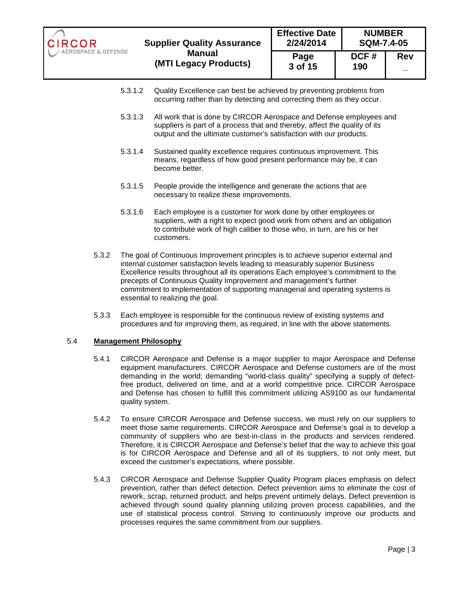| <b>CIRCOR</b>       | <b>Supplier Quality Assurance</b>      | <b>Effective Date</b><br>2/24/2014 | <b>NUMBER</b><br><b>SQM-7.4-05</b> |            |
|---------------------|----------------------------------------|------------------------------------|------------------------------------|------------|
| AEROSPACE & DEFENSE | <b>Manual</b><br>(MTI Legacy Products) | Page<br>3 of 15                    | DCF#<br>190                        | <b>Rev</b> |

- 5.3.1.2 Quality Excellence can best be achieved by preventing problems from occurring rather than by detecting and correcting them as they occur.
- 5.3.1.3 All work that is done by CIRCOR Aerospace and Defense employees and suppliers is part of a process that and thereby, affect the quality of its output and the ultimate customer's satisfaction with our products.
- 5.3.1.4 Sustained quality excellence requires continuous improvement. This means, regardless of how good present performance may be, it can become better.
- 5.3.1.5 People provide the intelligence and generate the actions that are necessary to realize these improvements.
- 5.3.1.6 Each employee is a customer for work done by other employees or suppliers, with a right to expect good work from others and an obligation to contribute work of high caliber to those who, in turn, are his or her customers.
- 5.3.2 The goal of Continuous Improvement principles is to achieve superior external and internal customer satisfaction levels leading to measurably superior Business Excellence results throughout all its operations Each employee's commitment to the precepts of Continuous Quality Improvement and management's further commitment to implementation of supporting managerial and operating systems is essential to realizing the goal.
- 5.3.3 Each employee is responsible for the continuous review of existing systems and procedures and for improving them, as required, in line with the above statements.

# 5.4 **Management Philosophy**

- 5.4.1 CIRCOR Aerospace and Defense is a major supplier to major Aerospace and Defense equipment manufacturers. CIRCOR Aerospace and Defense customers are of the most demanding in the world; demanding "world-class quality" specifying a supply of defectfree product, delivered on time, and at a world competitive price. CIRCOR Aerospace and Defense has chosen to fulfill this commitment utilizing AS9100 as our fundamental quality system.
- 5.4.2 To ensure CIRCOR Aerospace and Defense success, we must rely on our suppliers to meet those same requirements. CIRCOR Aerospace and Defense's goal is to develop a community of suppliers who are best-in-class in the products and services rendered. Therefore, it is CIRCOR Aerospace and Defense's belief that the way to achieve this goal is for CIRCOR Aerospace and Defense and all of its suppliers, to not only meet, but exceed the customer's expectations, where possible.
- 5.4.3 CIRCOR Aerospace and Defense Supplier Quality Program places emphasis on defect prevention, rather than defect detection. Defect prevention aims to eliminate the cost of rework, scrap, returned product, and helps prevent untimely delays. Defect prevention is achieved through sound quality planning utilizing proven process capabilities, and the use of statistical process control. Striving to continuously improve our products and processes requires the same commitment from our suppliers.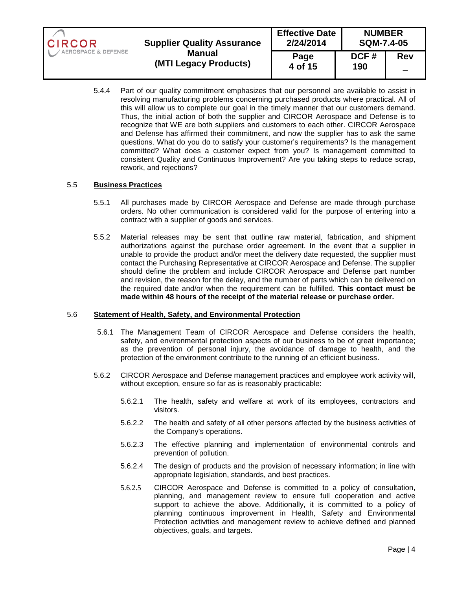| <b>CIRCOR</b>       | <b>Supplier Quality Assurance</b>      | <b>Effective Date</b><br>2/24/2014 | <b>NUMBER</b><br><b>SQM-7.4-05</b> |            |
|---------------------|----------------------------------------|------------------------------------|------------------------------------|------------|
| AEROSPACE & DEFENSE | <b>Manual</b><br>(MTI Legacy Products) | Page<br>4 of 15                    | DCF#<br>190                        | <b>Rev</b> |

5.4.4 Part of our quality commitment emphasizes that our personnel are available to assist in resolving manufacturing problems concerning purchased products where practical. All of this will allow us to complete our goal in the timely manner that our customers demand. Thus, the initial action of both the supplier and CIRCOR Aerospace and Defense is to recognize that WE are both suppliers and customers to each other. CIRCOR Aerospace and Defense has affirmed their commitment, and now the supplier has to ask the same questions. What do you do to satisfy your customer's requirements? Is the management committed? What does a customer expect from you? Is management committed to consistent Quality and Continuous Improvement? Are you taking steps to reduce scrap, rework, and rejections?

### 5.5 **Business Practices**

- 5.5.1 All purchases made by CIRCOR Aerospace and Defense are made through purchase orders. No other communication is considered valid for the purpose of entering into a contract with a supplier of goods and services.
- 5.5.2 Material releases may be sent that outline raw material, fabrication, and shipment authorizations against the purchase order agreement. In the event that a supplier in unable to provide the product and/or meet the delivery date requested, the supplier must contact the Purchasing Representative at CIRCOR Aerospace and Defense. The supplier should define the problem and include CIRCOR Aerospace and Defense part number and revision, the reason for the delay, and the number of parts which can be delivered on the required date and/or when the requirement can be fulfilled. **This contact must be made within 48 hours of the receipt of the material release or purchase order.**

#### 5.6 **Statement of Health, Safety, and Environmental Protection**

- 5.6.1 The Management Team of CIRCOR Aerospace and Defense considers the health, safety, and environmental protection aspects of our business to be of great importance; as the prevention of personal injury, the avoidance of damage to health, and the protection of the environment contribute to the running of an efficient business.
- 5.6.2 CIRCOR Aerospace and Defense management practices and employee work activity will, without exception, ensure so far as is reasonably practicable:
	- 5.6.2.1 The health, safety and welfare at work of its employees, contractors and visitors.
	- 5.6.2.2 The health and safety of all other persons affected by the business activities of the Company's operations.
	- 5.6.2.3 The effective planning and implementation of environmental controls and prevention of pollution.
	- 5.6.2.4 The design of products and the provision of necessary information; in line with appropriate legislation, standards, and best practices.
	- 5.6.2.5 CIRCOR Aerospace and Defense is committed to a policy of consultation, planning, and management review to ensure full cooperation and active support to achieve the above. Additionally, it is committed to a policy of planning continuous improvement in Health, Safety and Environmental Protection activities and management review to achieve defined and planned objectives, goals, and targets.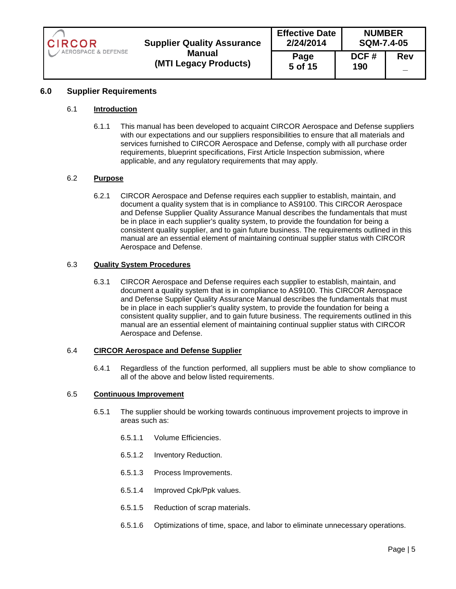| <b>CIRCOR</b><br><b>Supplier Quality Assurance</b> | <b>Effective Date</b><br><b>NUMBER</b><br>2/24/2014<br><b>SQM-7.4-05</b> |                 |             |            |
|----------------------------------------------------|--------------------------------------------------------------------------|-----------------|-------------|------------|
| AEROSPACE & DEFENSE                                | <b>Manual</b><br>(MTI Legacy Products)                                   | Page<br>5 of 15 | DCF#<br>190 | <b>Rev</b> |

## **6.0 Supplier Requirements**

#### 6.1 **Introduction**

6.1.1 This manual has been developed to acquaint CIRCOR Aerospace and Defense suppliers with our expectations and our suppliers responsibilities to ensure that all materials and services furnished to CIRCOR Aerospace and Defense, comply with all purchase order requirements, blueprint specifications, First Article Inspection submission, where applicable, and any regulatory requirements that may apply.

### 6.2 **Purpose**

6.2.1 CIRCOR Aerospace and Defense requires each supplier to establish, maintain, and document a quality system that is in compliance to AS9100. This CIRCOR Aerospace and Defense Supplier Quality Assurance Manual describes the fundamentals that must be in place in each supplier's quality system, to provide the foundation for being a consistent quality supplier, and to gain future business. The requirements outlined in this manual are an essential element of maintaining continual supplier status with CIRCOR Aerospace and Defense.

#### 6.3 **Quality System Procedures**

6.3.1 CIRCOR Aerospace and Defense requires each supplier to establish, maintain, and document a quality system that is in compliance to AS9100. This CIRCOR Aerospace and Defense Supplier Quality Assurance Manual describes the fundamentals that must be in place in each supplier's quality system, to provide the foundation for being a consistent quality supplier, and to gain future business. The requirements outlined in this manual are an essential element of maintaining continual supplier status with CIRCOR Aerospace and Defense.

#### 6.4 **CIRCOR Aerospace and Defense Supplier**

6.4.1 Regardless of the function performed, all suppliers must be able to show compliance to all of the above and below listed requirements.

#### 6.5 **Continuous Improvement**

- 6.5.1 The supplier should be working towards continuous improvement projects to improve in areas such as:
	- 6.5.1.1 Volume Efficiencies.
	- 6.5.1.2 Inventory Reduction.
	- 6.5.1.3 Process Improvements.
	- 6.5.1.4 Improved Cpk/Ppk values.
	- 6.5.1.5 Reduction of scrap materials.
	- 6.5.1.6 Optimizations of time, space, and labor to eliminate unnecessary operations.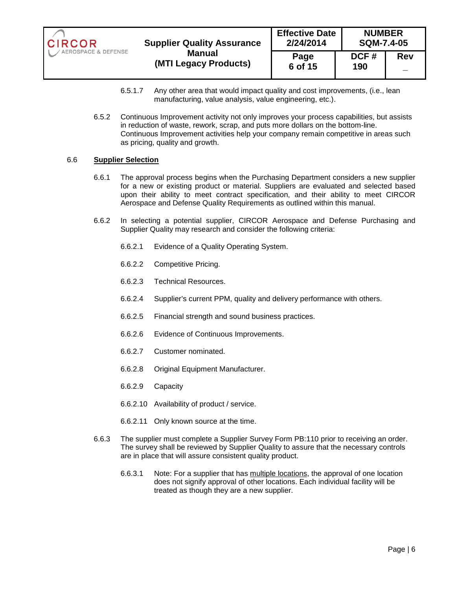| <b>CIRCOR</b>       | <b>Supplier Quality Assurance</b> | <b>Effective Date</b><br>2/24/2014 | <b>NUMBER</b><br><b>SQM-7.4-05</b> |                   |
|---------------------|-----------------------------------|------------------------------------|------------------------------------|-------------------|
| AEROSPACE & DEFENSE | Manual                            | Page                               | DCF#                               | <b>Rev</b>        |
|                     | (MTI Legacy Products)             | 6 of 15                            | 190                                | $\qquad \qquad -$ |

- 6.5.1.7 Any other area that would impact quality and cost improvements, (i.e., lean manufacturing, value analysis, value engineering, etc.).
- 6.5.2 Continuous Improvement activity not only improves your process capabilities, but assists in reduction of waste, rework, scrap, and puts more dollars on the bottom-line. Continuous Improvement activities help your company remain competitive in areas such as pricing, quality and growth.

#### 6.6 **Supplier Selection**

- 6.6.1 The approval process begins when the Purchasing Department considers a new supplier for a new or existing product or material. Suppliers are evaluated and selected based upon their ability to meet contract specification, and their ability to meet CIRCOR Aerospace and Defense Quality Requirements as outlined within this manual.
- 6.6.2 In selecting a potential supplier, CIRCOR Aerospace and Defense Purchasing and Supplier Quality may research and consider the following criteria:
	- 6.6.2.1 Evidence of a Quality Operating System.
	- 6.6.2.2 Competitive Pricing.
	- 6.6.2.3 Technical Resources.
	- 6.6.2.4 Supplier's current PPM, quality and delivery performance with others.
	- 6.6.2.5 Financial strength and sound business practices.
	- 6.6.2.6 Evidence of Continuous Improvements.
	- 6.6.2.7 Customer nominated.
	- 6.6.2.8 Original Equipment Manufacturer.
	- 6.6.2.9 Capacity
	- 6.6.2.10 Availability of product / service.
	- 6.6.2.11 Only known source at the time.
- 6.6.3 The supplier must complete a Supplier Survey Form PB:110 prior to receiving an order. The survey shall be reviewed by Supplier Quality to assure that the necessary controls are in place that will assure consistent quality product.
	- 6.6.3.1 Note: For a supplier that has multiple locations, the approval of one location does not signify approval of other locations. Each individual facility will be treated as though they are a new supplier.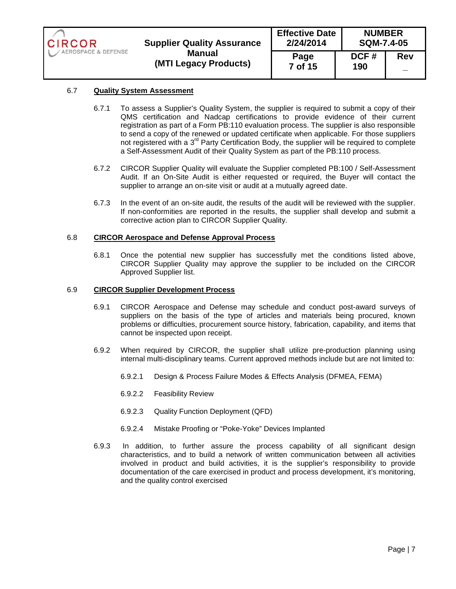| <b>CIRCOR</b>       | <b>Supplier Quality Assurance</b>      | <b>NUMBER</b><br><b>Effective Date</b><br>2/24/2014<br><b>SQM-7.4-05</b> |             |            |
|---------------------|----------------------------------------|--------------------------------------------------------------------------|-------------|------------|
| AEROSPACE & DEFENSE | <b>Manual</b><br>(MTI Legacy Products) | Page<br>7 of 15                                                          | DCF#<br>190 | <b>Rev</b> |

## 6.7 **Quality System Assessment**

- 6.7.1 To assess a Supplier's Quality System, the supplier is required to submit a copy of their QMS certification and Nadcap certifications to provide evidence of their current registration as part of a Form PB:110 evaluation process. The supplier is also responsible to send a copy of the renewed or updated certificate when applicable. For those suppliers not registered with a  $3<sup>rd</sup>$  Party Certification Body, the supplier will be required to complete a Self-Assessment Audit of their Quality System as part of the PB:110 process.
- 6.7.2 CIRCOR Supplier Quality will evaluate the Supplier completed PB:100 / Self-Assessment Audit. If an On-Site Audit is either requested or required, the Buyer will contact the supplier to arrange an on-site visit or audit at a mutually agreed date.
- 6.7.3 In the event of an on-site audit, the results of the audit will be reviewed with the supplier. If non-conformities are reported in the results, the supplier shall develop and submit a corrective action plan to CIRCOR Supplier Quality.

#### 6.8 **CIRCOR Aerospace and Defense Approval Process**

6.8.1 Once the potential new supplier has successfully met the conditions listed above, CIRCOR Supplier Quality may approve the supplier to be included on the CIRCOR Approved Supplier list.

#### 6.9 **CIRCOR Supplier Development Process**

- 6.9.1 CIRCOR Aerospace and Defense may schedule and conduct post-award surveys of suppliers on the basis of the type of articles and materials being procured, known problems or difficulties, procurement source history, fabrication, capability, and items that cannot be inspected upon receipt.
- 6.9.2 When required by CIRCOR, the supplier shall utilize pre-production planning using internal multi-disciplinary teams. Current approved methods include but are not limited to:
	- 6.9.2.1 Design & Process Failure Modes & Effects Analysis (DFMEA, FEMA)
	- 6.9.2.2 Feasibility Review
	- 6.9.2.3 Quality Function Deployment (QFD)
	- 6.9.2.4 Mistake Proofing or "Poke-Yoke" Devices Implanted
- 6.9.3 In addition, to further assure the process capability of all significant design characteristics, and to build a network of written communication between all activities involved in product and build activities, it is the supplier's responsibility to provide documentation of the care exercised in product and process development, it's monitoring, and the quality control exercised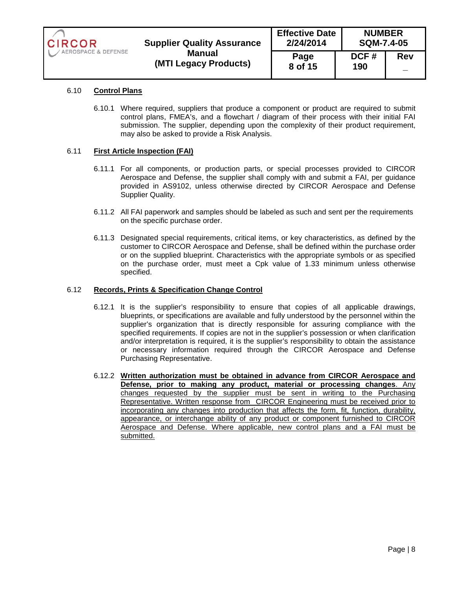| CIRCOR                | <b>Supplier Quality Assurance</b> | <b>Effective Date</b><br>2/24/2014 |             | <b>NUMBER</b><br><b>SQM-7.4-05</b> |  |
|-----------------------|-----------------------------------|------------------------------------|-------------|------------------------------------|--|
| / AEROSPACE & DEFENSE | Manual<br>(MTI Legacy Products)   | Page<br>8 of 15                    | DCF#<br>190 | <b>Rev</b>                         |  |

# 6.10 **Control Plans**

6.10.1 Where required, suppliers that produce a component or product are required to submit control plans, FMEA's, and a flowchart / diagram of their process with their initial FAI submission. The supplier, depending upon the complexity of their product requirement, may also be asked to provide a Risk Analysis.

## 6.11 **First Article Inspection (FAI)**

- 6.11.1 For all components, or production parts, or special processes provided to CIRCOR Aerospace and Defense, the supplier shall comply with and submit a FAI, per guidance provided in AS9102, unless otherwise directed by CIRCOR Aerospace and Defense Supplier Quality.
- 6.11.2 All FAI paperwork and samples should be labeled as such and sent per the requirements on the specific purchase order.
- 6.11.3 Designated special requirements, critical items, or key characteristics, as defined by the customer to CIRCOR Aerospace and Defense, shall be defined within the purchase order or on the supplied blueprint. Characteristics with the appropriate symbols or as specified on the purchase order, must meet a Cpk value of 1.33 minimum unless otherwise specified.

#### 6.12 **Records, Prints & Specification Change Control**

- 6.12.1 It is the supplier's responsibility to ensure that copies of all applicable drawings, blueprints, or specifications are available and fully understood by the personnel within the supplier's organization that is directly responsible for assuring compliance with the specified requirements. If copies are not in the supplier's possession or when clarification and/or interpretation is required, it is the supplier's responsibility to obtain the assistance or necessary information required through the CIRCOR Aerospace and Defense Purchasing Representative.
- 6.12.2 **Written authorization must be obtained in advance from CIRCOR Aerospace and Defense, prior to making any product, material or processing changes**. Any changes requested by the supplier must be sent in writing to the Purchasing Representative. Written response from CIRCOR Engineering must be received prior to incorporating any changes into production that affects the form, fit, function, durability, appearance, or interchange ability of any product or component furnished to CIRCOR Aerospace and Defense. Where applicable, new control plans and a FAI must be submitted.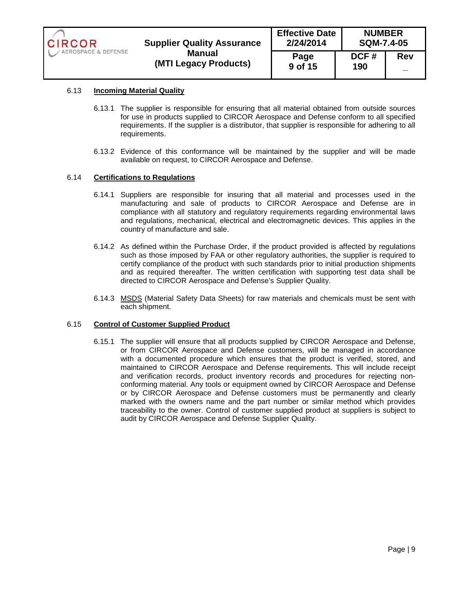| <b>CIRCOR</b>       | <b>Supplier Quality Assurance</b>      | <b>NUMBER</b><br><b>Effective Date</b><br>2/24/2014<br><b>SQM-7.4-05</b> |             |            |
|---------------------|----------------------------------------|--------------------------------------------------------------------------|-------------|------------|
| AEROSPACE & DEFENSE | <b>Manual</b><br>(MTI Legacy Products) | Page<br>9 of 15                                                          | DCF#<br>190 | <b>Rev</b> |

## 6.13 **Incoming Material Quality**

- 6.13.1 The supplier is responsible for ensuring that all material obtained from outside sources for use in products supplied to CIRCOR Aerospace and Defense conform to all specified requirements. If the supplier is a distributor, that supplier is responsible for adhering to all requirements.
- 6.13.2 Evidence of this conformance will be maintained by the supplier and will be made available on request, to CIRCOR Aerospace and Defense.

#### 6.14 **Certifications to Regulations**

- 6.14.1 Suppliers are responsible for insuring that all material and processes used in the manufacturing and sale of products to CIRCOR Aerospace and Defense are in compliance with all statutory and regulatory requirements regarding environmental laws and regulations, mechanical, electrical and electromagnetic devices. This applies in the country of manufacture and sale.
- 6.14.2 As defined within the Purchase Order, if the product provided is affected by regulations such as those imposed by FAA or other regulatory authorities, the supplier is required to certify compliance of the product with such standards prior to initial production shipments and as required thereafter. The written certification with supporting test data shall be directed to CIRCOR Aerospace and Defense's Supplier Quality.
- 6.14.3 MSDS (Material Safety Data Sheets) for raw materials and chemicals must be sent with each shipment.

#### 6.15 **Control of Customer Supplied Product**

6.15.1 The supplier will ensure that all products supplied by CIRCOR Aerospace and Defense, or from CIRCOR Aerospace and Defense customers, will be managed in accordance with a documented procedure which ensures that the product is verified, stored, and maintained to CIRCOR Aerospace and Defense requirements. This will include receipt and verification records, product inventory records and procedures for rejecting nonconforming material. Any tools or equipment owned by CIRCOR Aerospace and Defense or by CIRCOR Aerospace and Defense customers must be permanently and clearly marked with the owners name and the part number or similar method which provides traceability to the owner. Control of customer supplied product at suppliers is subject to audit by CIRCOR Aerospace and Defense Supplier Quality.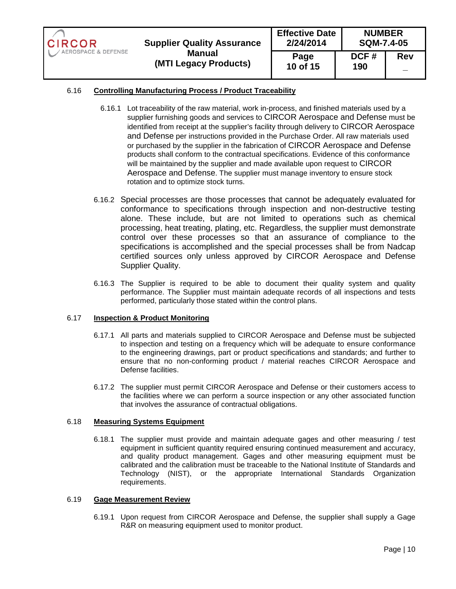| <b>CIRCOR</b>       | <b>Supplier Quality Assurance</b> | <b>Effective Date</b><br>2/24/2014 | <b>NUMBER</b><br><b>SQM-7.4-05</b> |            |
|---------------------|-----------------------------------|------------------------------------|------------------------------------|------------|
| AEROSPACE & DEFENSE | Manual<br>(MTI Legacy Products)   | Page<br>10 of 15                   | DCF#<br>190                        | <b>Rev</b> |

# 6.16 **Controlling Manufacturing Process / Product Traceability**

- 6.16.1 Lot traceability of the raw material, work in-process, and finished materials used by a supplier furnishing goods and services to CIRCOR Aerospace and Defense must be identified from receipt at the supplier's facility through delivery to CIRCOR Aerospace and Defense per instructions provided in the Purchase Order. All raw materials used or purchased by the supplier in the fabrication of CIRCOR Aerospace and Defense products shall conform to the contractual specifications. Evidence of this conformance will be maintained by the supplier and made available upon request to CIRCOR Aerospace and Defense. The supplier must manage inventory to ensure stock rotation and to optimize stock turns.
- 6.16.2 Special processes are those processes that cannot be adequately evaluated for conformance to specifications through inspection and non-destructive testing alone. These include, but are not limited to operations such as chemical processing, heat treating, plating, etc. Regardless, the supplier must demonstrate control over these processes so that an assurance of compliance to the specifications is accomplished and the special processes shall be from Nadcap certified sources only unless approved by CIRCOR Aerospace and Defense Supplier Quality.
- 6.16.3 The Supplier is required to be able to document their quality system and quality performance. The Supplier must maintain adequate records of all inspections and tests performed, particularly those stated within the control plans.

## 6.17 **Inspection & Product Monitoring**

- 6.17.1 All parts and materials supplied to CIRCOR Aerospace and Defense must be subjected to inspection and testing on a frequency which will be adequate to ensure conformance to the engineering drawings, part or product specifications and standards; and further to ensure that no non-conforming product / material reaches CIRCOR Aerospace and Defense facilities.
- 6.17.2 The supplier must permit CIRCOR Aerospace and Defense or their customers access to the facilities where we can perform a source inspection or any other associated function that involves the assurance of contractual obligations.

#### 6.18 **Measuring Systems Equipment**

6.18.1 The supplier must provide and maintain adequate gages and other measuring / test equipment in sufficient quantity required ensuring continued measurement and accuracy, and quality product management. Gages and other measuring equipment must be calibrated and the calibration must be traceable to the National Institute of Standards and Technology (NIST), or the appropriate International Standards Organization requirements.

#### 6.19 **Gage Measurement Review**

6.19.1 Upon request from CIRCOR Aerospace and Defense, the supplier shall supply a Gage R&R on measuring equipment used to monitor product.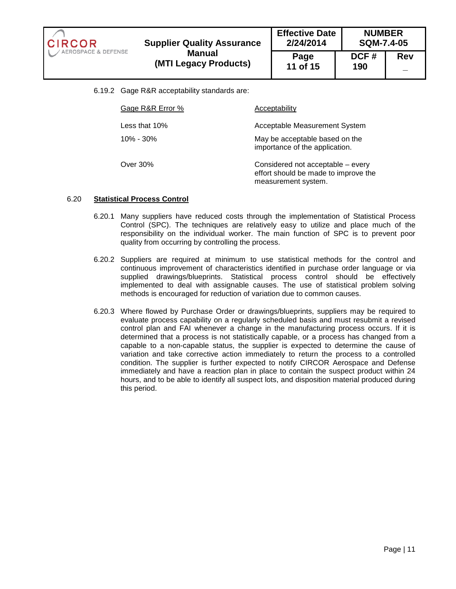**Effective Date NUMBER 2/24/2014 SQM-7.4-05 Supplier Quality Assurance**  CIRCOR AEROSPACE & DEFENSE **Manual Page DCF # Rev (MTI Legacy Products) 11 of 15 190 \_** 

6.19.2 Gage R&R acceptability standards are:

| Gage R&R Error % | Acceptability                                                                                    |
|------------------|--------------------------------------------------------------------------------------------------|
| Less that 10%    | Acceptable Measurement System                                                                    |
| $10\% - 30\%$    | May be acceptable based on the<br>importance of the application.                                 |
| Over 30%         | Considered not acceptable - every<br>effort should be made to improve the<br>measurement system. |

## 6.20 **Statistical Process Control**

- 6.20.1 Many suppliers have reduced costs through the implementation of Statistical Process Control (SPC). The techniques are relatively easy to utilize and place much of the responsibility on the individual worker. The main function of SPC is to prevent poor quality from occurring by controlling the process.
- 6.20.2 Suppliers are required at minimum to use statistical methods for the control and continuous improvement of characteristics identified in purchase order language or via supplied drawings/blueprints. Statistical process control should be effectively implemented to deal with assignable causes. The use of statistical problem solving methods is encouraged for reduction of variation due to common causes.
- 6.20.3 Where flowed by Purchase Order or drawings/blueprints, suppliers may be required to evaluate process capability on a regularly scheduled basis and must resubmit a revised control plan and FAI whenever a change in the manufacturing process occurs. If it is determined that a process is not statistically capable, or a process has changed from a capable to a non-capable status, the supplier is expected to determine the cause of variation and take corrective action immediately to return the process to a controlled condition. The supplier is further expected to notify CIRCOR Aerospace and Defense immediately and have a reaction plan in place to contain the suspect product within 24 hours, and to be able to identify all suspect lots, and disposition material produced during this period.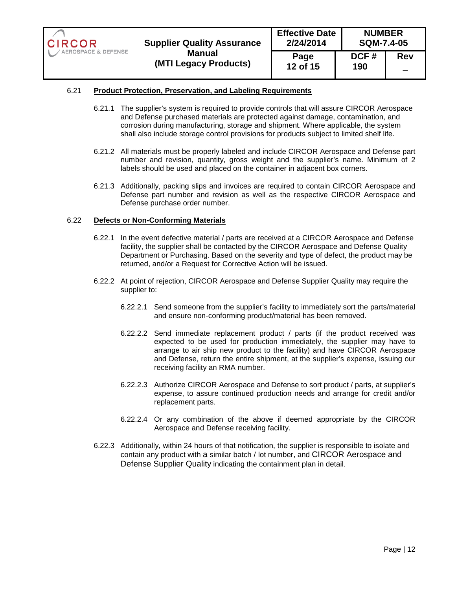

#### 6.21 **Product Protection, Preservation, and Labeling Requirements**

- 6.21.1 The supplier's system is required to provide controls that will assure CIRCOR Aerospace and Defense purchased materials are protected against damage, contamination, and corrosion during manufacturing, storage and shipment. Where applicable, the system shall also include storage control provisions for products subject to limited shelf life.
- 6.21.2 All materials must be properly labeled and include CIRCOR Aerospace and Defense part number and revision, quantity, gross weight and the supplier's name. Minimum of 2 labels should be used and placed on the container in adjacent box corners.
- 6.21.3 Additionally, packing slips and invoices are required to contain CIRCOR Aerospace and Defense part number and revision as well as the respective CIRCOR Aerospace and Defense purchase order number.

### 6.22 **Defects or Non-Conforming Materials**

- 6.22.1 In the event defective material / parts are received at a CIRCOR Aerospace and Defense facility, the supplier shall be contacted by the CIRCOR Aerospace and Defense Quality Department or Purchasing. Based on the severity and type of defect, the product may be returned, and/or a Request for Corrective Action will be issued.
- 6.22.2 At point of rejection, CIRCOR Aerospace and Defense Supplier Quality may require the supplier to:
	- 6.22.2.1 Send someone from the supplier's facility to immediately sort the parts/material and ensure non-conforming product/material has been removed.
	- 6.22.2.2 Send immediate replacement product / parts (if the product received was expected to be used for production immediately, the supplier may have to arrange to air ship new product to the facility) and have CIRCOR Aerospace and Defense, return the entire shipment, at the supplier's expense, issuing our receiving facility an RMA number.
	- 6.22.2.3 Authorize CIRCOR Aerospace and Defense to sort product / parts, at supplier's expense, to assure continued production needs and arrange for credit and/or replacement parts.
	- 6.22.2.4 Or any combination of the above if deemed appropriate by the CIRCOR Aerospace and Defense receiving facility.
- 6.22.3 Additionally, within 24 hours of that notification, the supplier is responsible to isolate and contain any product with a similar batch / lot number, and CIRCOR Aerospace and Defense Supplier Quality indicating the containment plan in detail.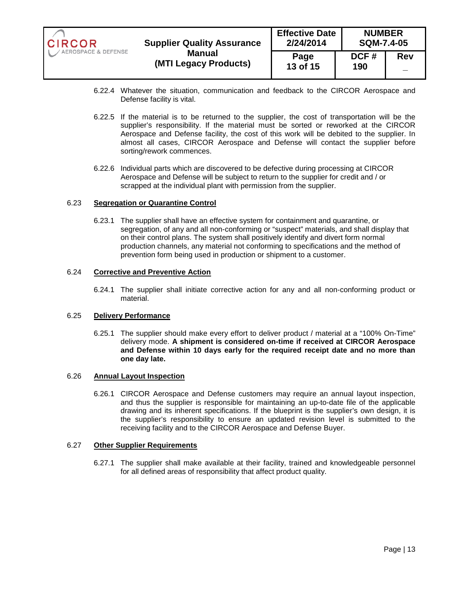| <b>CIRCOR</b>       | <b>Supplier Quality Assurance</b>      | <b>Effective Date</b><br>2/24/2014 | <b>NUMBER</b><br><b>SQM-7.4-05</b> |            |
|---------------------|----------------------------------------|------------------------------------|------------------------------------|------------|
| AEROSPACE & DEFENSE | <b>Manual</b><br>(MTI Legacy Products) | Page<br>13 of 15                   | DCF#<br>190                        | <b>Rev</b> |

- 6.22.4 Whatever the situation, communication and feedback to the CIRCOR Aerospace and Defense facility is vital.
- 6.22.5 If the material is to be returned to the supplier, the cost of transportation will be the supplier's responsibility. If the material must be sorted or reworked at the CIRCOR Aerospace and Defense facility, the cost of this work will be debited to the supplier. In almost all cases, CIRCOR Aerospace and Defense will contact the supplier before sorting/rework commences.
- 6.22.6 Individual parts which are discovered to be defective during processing at CIRCOR Aerospace and Defense will be subject to return to the supplier for credit and / or scrapped at the individual plant with permission from the supplier.

#### 6.23 **Segregation or Quarantine Control**

6.23.1 The supplier shall have an effective system for containment and quarantine, or segregation, of any and all non-conforming or "suspect" materials, and shall display that on their control plans. The system shall positively identify and divert form normal production channels, any material not conforming to specifications and the method of prevention form being used in production or shipment to a customer.

### 6.24 **Corrective and Preventive Action**

6.24.1 The supplier shall initiate corrective action for any and all non-conforming product or material.

#### 6.25 **Delivery Performance**

6.25.1 The supplier should make every effort to deliver product / material at a "100% On-Time" delivery mode. **A shipment is considered on-time if received at CIRCOR Aerospace and Defense within 10 days early for the required receipt date and no more than one day late.** 

## 6.26 **Annual Layout Inspection**

6.26.1 CIRCOR Aerospace and Defense customers may require an annual layout inspection, and thus the supplier is responsible for maintaining an up-to-date file of the applicable drawing and its inherent specifications. If the blueprint is the supplier's own design, it is the supplier's responsibility to ensure an updated revision level is submitted to the receiving facility and to the CIRCOR Aerospace and Defense Buyer.

#### 6.27 **Other Supplier Requirements**

6.27.1 The supplier shall make available at their facility, trained and knowledgeable personnel for all defined areas of responsibility that affect product quality.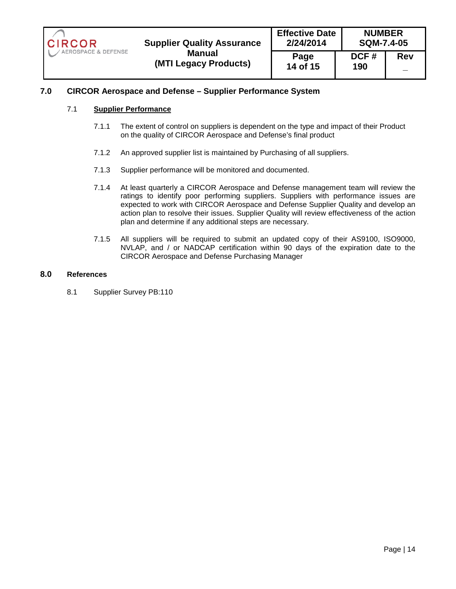| <b>CIRCOR</b><br><b>Supplier Quality Assurance</b><br>AEROSPACE & DEFENSE<br>Manual<br>(MTI Legacy Products) | <b>Effective Date</b><br>2/24/2014 |                  | <b>NUMBER</b><br><b>SQM-7.4-05</b> |            |
|--------------------------------------------------------------------------------------------------------------|------------------------------------|------------------|------------------------------------|------------|
|                                                                                                              |                                    | Page<br>14 of 15 | DCF#<br>190                        | <b>Rev</b> |

# **7.0 CIRCOR Aerospace and Defense – Supplier Performance System**

#### 7.1 **Supplier Performance**

- 7.1.1 The extent of control on suppliers is dependent on the type and impact of their Product on the quality of CIRCOR Aerospace and Defense's final product
- 7.1.2 An approved supplier list is maintained by Purchasing of all suppliers.
- 7.1.3 Supplier performance will be monitored and documented.
- 7.1.4 At least quarterly a CIRCOR Aerospace and Defense management team will review the ratings to identify poor performing suppliers. Suppliers with performance issues are expected to work with CIRCOR Aerospace and Defense Supplier Quality and develop an action plan to resolve their issues. Supplier Quality will review effectiveness of the action plan and determine if any additional steps are necessary.
- 7.1.5 All suppliers will be required to submit an updated copy of their AS9100, ISO9000, NVLAP, and / or NADCAP certification within 90 days of the expiration date to the CIRCOR Aerospace and Defense Purchasing Manager

# **8.0 References**

8.1 Supplier Survey PB:110